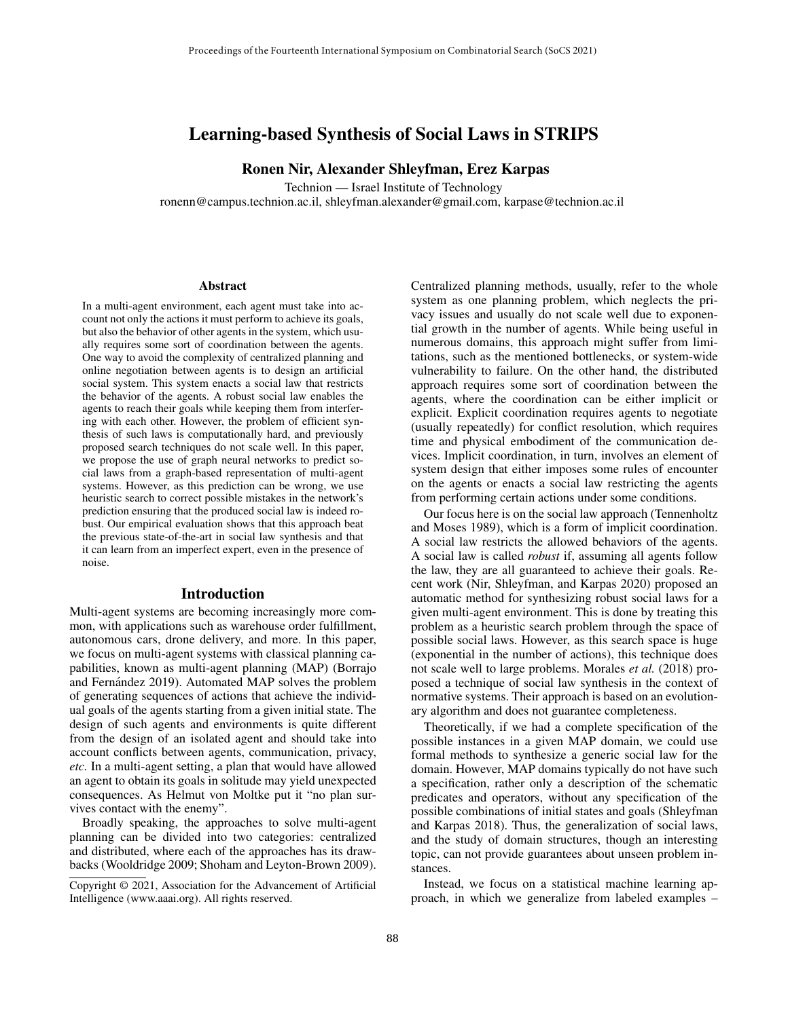# Learning-based Synthesis of Social Laws in STRIPS

Ronen Nir, Alexander Shleyfman, Erez Karpas

Technion — Israel Institute of Technology

ronenn@campus.technion.ac.il, shleyfman.alexander@gmail.com, karpase@technion.ac.il

#### **Abstract**

In a multi-agent environment, each agent must take into account not only the actions it must perform to achieve its goals, but also the behavior of other agents in the system, which usually requires some sort of coordination between the agents. One way to avoid the complexity of centralized planning and online negotiation between agents is to design an artificial social system. This system enacts a social law that restricts the behavior of the agents. A robust social law enables the agents to reach their goals while keeping them from interfering with each other. However, the problem of efficient synthesis of such laws is computationally hard, and previously proposed search techniques do not scale well. In this paper, we propose the use of graph neural networks to predict social laws from a graph-based representation of multi-agent systems. However, as this prediction can be wrong, we use heuristic search to correct possible mistakes in the network's prediction ensuring that the produced social law is indeed robust. Our empirical evaluation shows that this approach beat the previous state-of-the-art in social law synthesis and that it can learn from an imperfect expert, even in the presence of noise.

#### Introduction

Multi-agent systems are becoming increasingly more common, with applications such as warehouse order fulfillment, autonomous cars, drone delivery, and more. In this paper, we focus on multi-agent systems with classical planning capabilities, known as multi-agent planning (MAP) (Borrajo and Fernández 2019). Automated MAP solves the problem of generating sequences of actions that achieve the individual goals of the agents starting from a given initial state. The design of such agents and environments is quite different from the design of an isolated agent and should take into account conflicts between agents, communication, privacy, *etc.* In a multi-agent setting, a plan that would have allowed an agent to obtain its goals in solitude may yield unexpected consequences. As Helmut von Moltke put it "no plan survives contact with the enemy".

Broadly speaking, the approaches to solve multi-agent planning can be divided into two categories: centralized and distributed, where each of the approaches has its drawbacks (Wooldridge 2009; Shoham and Leyton-Brown 2009).

Centralized planning methods, usually, refer to the whole system as one planning problem, which neglects the privacy issues and usually do not scale well due to exponential growth in the number of agents. While being useful in numerous domains, this approach might suffer from limitations, such as the mentioned bottlenecks, or system-wide vulnerability to failure. On the other hand, the distributed approach requires some sort of coordination between the agents, where the coordination can be either implicit or explicit. Explicit coordination requires agents to negotiate (usually repeatedly) for conflict resolution, which requires time and physical embodiment of the communication devices. Implicit coordination, in turn, involves an element of system design that either imposes some rules of encounter on the agents or enacts a social law restricting the agents from performing certain actions under some conditions.

Our focus here is on the social law approach (Tennenholtz and Moses 1989), which is a form of implicit coordination. A social law restricts the allowed behaviors of the agents. A social law is called *robust* if, assuming all agents follow the law, they are all guaranteed to achieve their goals. Recent work (Nir, Shleyfman, and Karpas 2020) proposed an automatic method for synthesizing robust social laws for a given multi-agent environment. This is done by treating this problem as a heuristic search problem through the space of possible social laws. However, as this search space is huge (exponential in the number of actions), this technique does not scale well to large problems. Morales *et al.* (2018) proposed a technique of social law synthesis in the context of normative systems. Their approach is based on an evolutionary algorithm and does not guarantee completeness.

Theoretically, if we had a complete specification of the possible instances in a given MAP domain, we could use formal methods to synthesize a generic social law for the domain. However, MAP domains typically do not have such a specification, rather only a description of the schematic predicates and operators, without any specification of the possible combinations of initial states and goals (Shleyfman and Karpas 2018). Thus, the generalization of social laws, and the study of domain structures, though an interesting topic, can not provide guarantees about unseen problem instances.

Instead, we focus on a statistical machine learning approach, in which we generalize from labeled examples –

Copyright © 2021, Association for the Advancement of Artificial Intelligence (www.aaai.org). All rights reserved.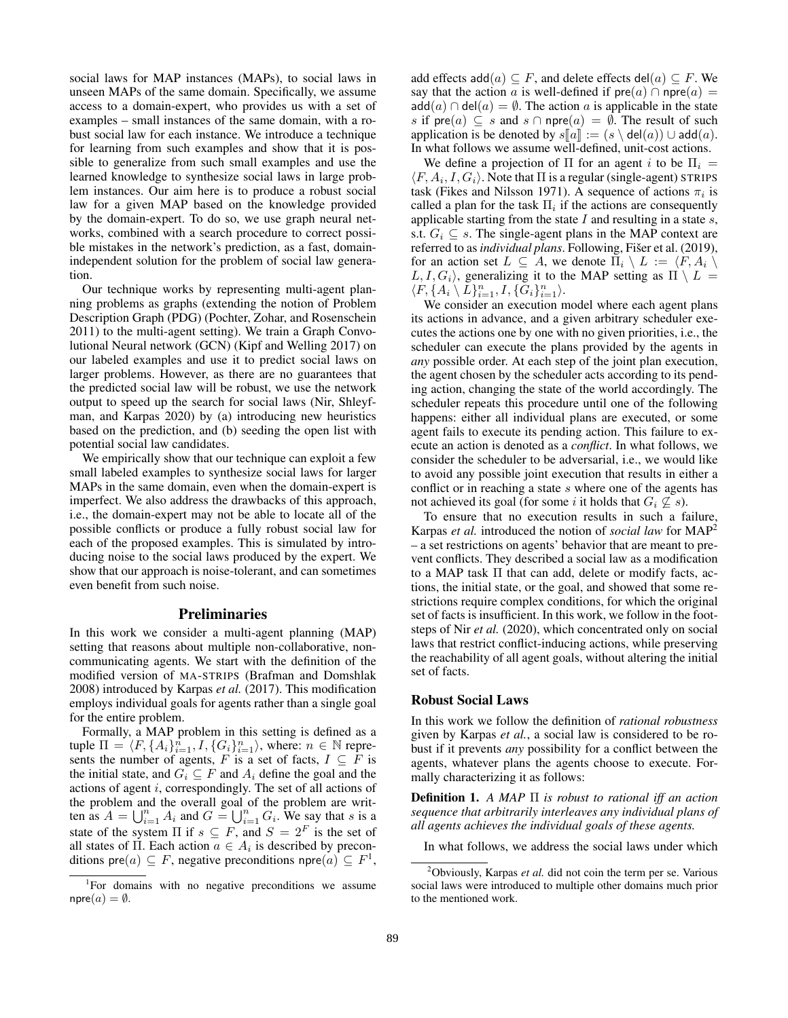social laws for MAP instances (MAPs), to social laws in unseen MAPs of the same domain. Specifically, we assume access to a domain-expert, who provides us with a set of examples – small instances of the same domain, with a robust social law for each instance. We introduce a technique for learning from such examples and show that it is possible to generalize from such small examples and use the learned knowledge to synthesize social laws in large problem instances. Our aim here is to produce a robust social law for a given MAP based on the knowledge provided by the domain-expert. To do so, we use graph neural networks, combined with a search procedure to correct possible mistakes in the network's prediction, as a fast, domainindependent solution for the problem of social law generation.

Our technique works by representing multi-agent planning problems as graphs (extending the notion of Problem Description Graph (PDG) (Pochter, Zohar, and Rosenschein 2011) to the multi-agent setting). We train a Graph Convolutional Neural network (GCN) (Kipf and Welling 2017) on our labeled examples and use it to predict social laws on larger problems. However, as there are no guarantees that the predicted social law will be robust, we use the network output to speed up the search for social laws (Nir, Shleyfman, and Karpas 2020) by (a) introducing new heuristics based on the prediction, and (b) seeding the open list with potential social law candidates.

We empirically show that our technique can exploit a few small labeled examples to synthesize social laws for larger MAPs in the same domain, even when the domain-expert is imperfect. We also address the drawbacks of this approach, i.e., the domain-expert may not be able to locate all of the possible conflicts or produce a fully robust social law for each of the proposed examples. This is simulated by introducing noise to the social laws produced by the expert. We show that our approach is noise-tolerant, and can sometimes even benefit from such noise.

## Preliminaries

In this work we consider a multi-agent planning (MAP) setting that reasons about multiple non-collaborative, noncommunicating agents. We start with the definition of the modified version of MA-STRIPS (Brafman and Domshlak 2008) introduced by Karpas *et al.* (2017). This modification employs individual goals for agents rather than a single goal for the entire problem.

Formally, a MAP problem in this setting is defined as a tuple  $\Pi = \langle F, \{A_i\}_{i=1}^n, I, \{G_i\}_{i=1}^n \rangle$ , where:  $n \in \mathbb{N}$  represents the number of agents, F is a set of facts,  $I \subseteq F$  is the initial state, and  $G_i \subseteq F$  and  $A_i$  define the goal and the actions of agent i, correspondingly. The set of all actions of the problem and the overall goal of the problem are written as  $A = \bigcup_{i=1}^n A_i$  and  $G = \bigcup_{i=1}^n G_i$ . We say that s is a state of the system  $\Pi$  if  $s \subseteq F$ , and  $S = 2^F$  is the set of all states of  $\Pi$ . Each action  $a \in A_i$  is described by preconditions pre $(a) \subseteq F$ , negative preconditions npre $(a) \subseteq F<sup>1</sup>$ ,

add effects add(a)  $\subseteq$  F, and delete effects del(a)  $\subseteq$  F. We say that the action a is well-defined if  $pre(a) \cap npre(a)$  $add(a) \cap del(a) = \emptyset$ . The action a is applicable in the state s if  $pre(a) \subseteq s$  and  $s \cap npre(a) = \emptyset$ . The result of such application is be denoted by  $s[[a]] := (s \setminus \text{del}(a)) \cup \text{add}(a)$ . In what follows we assume well-defined, unit-cost actions.

We define a projection of  $\Pi$  for an agent i to be  $\Pi_i =$  $\langle F, A_i, I, G_i \rangle$ . Note that  $\Pi$  is a regular (single-agent) STRIPS task (Fikes and Nilsson 1971). A sequence of actions  $\pi_i$  is called a plan for the task  $\Pi_i$  if the actions are consequently applicable starting from the state  $I$  and resulting in a state  $s$ , s.t.  $G_i \subseteq s$ . The single-agent plans in the MAP context are referred to as *individual plans*. Following, Fišer et al. (2019), for an action set  $L \subseteq A$ , we denote  $\Pi_i \setminus L := \langle F, A_i \rangle$  $L, I, G_i$ , generalizing it to the MAP setting as  $\Pi \setminus L =$  $\langle F, \{A_i \setminus \overline{L}\}_{i=1}^n, I, \{\overline{G}_i\}_{i=1}^n \rangle.$ 

We consider an execution model where each agent plans its actions in advance, and a given arbitrary scheduler executes the actions one by one with no given priorities, i.e., the scheduler can execute the plans provided by the agents in *any* possible order. At each step of the joint plan execution, the agent chosen by the scheduler acts according to its pending action, changing the state of the world accordingly. The scheduler repeats this procedure until one of the following happens: either all individual plans are executed, or some agent fails to execute its pending action. This failure to execute an action is denoted as a *conflict*. In what follows, we consider the scheduler to be adversarial, i.e., we would like to avoid any possible joint execution that results in either a conflict or in reaching a state  $s$  where one of the agents has not achieved its goal (for some *i* it holds that  $G_i \nsubseteq s$ ).

To ensure that no execution results in such a failure, Karpas *et al.* introduced the notion of *social law* for MAP<sup>2</sup> – a set restrictions on agents' behavior that are meant to prevent conflicts. They described a social law as a modification to a MAP task Π that can add, delete or modify facts, actions, the initial state, or the goal, and showed that some restrictions require complex conditions, for which the original set of facts is insufficient. In this work, we follow in the footsteps of Nir *et al.* (2020), which concentrated only on social laws that restrict conflict-inducing actions, while preserving the reachability of all agent goals, without altering the initial set of facts.

## Robust Social Laws

In this work we follow the definition of *rational robustness* given by Karpas *et al.*, a social law is considered to be robust if it prevents *any* possibility for a conflict between the agents, whatever plans the agents choose to execute. Formally characterizing it as follows:

Definition 1. *A MAP* Π *is robust to rational iff an action sequence that arbitrarily interleaves any individual plans of all agents achieves the individual goals of these agents.*

<sup>&</sup>lt;sup>1</sup>For domains with no negative preconditions we assume  $npre(a) = \emptyset$ .

In what follows, we address the social laws under which

<sup>2</sup>Obviously, Karpas *et al.* did not coin the term per se. Various social laws were introduced to multiple other domains much prior to the mentioned work.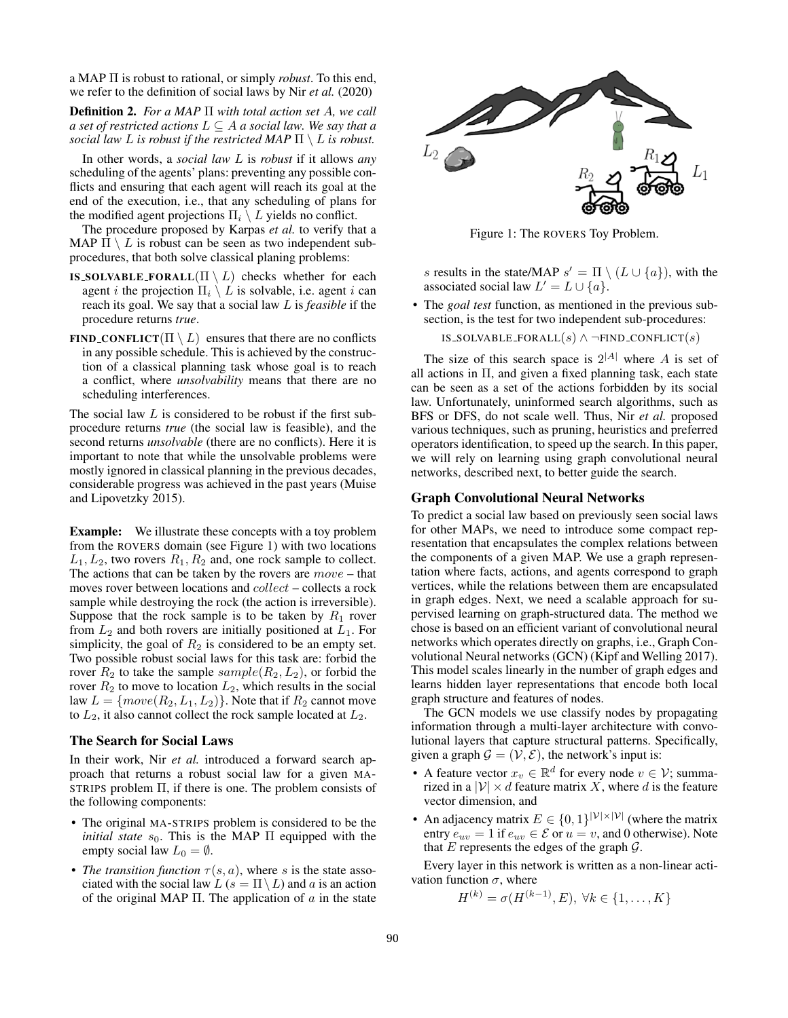a MAP Π is robust to rational, or simply *robust*. To this end, we refer to the definition of social laws by Nir *et al.* (2020)

Definition 2. *For a MAP* Π *with total action set* A*, we call a set of restricted actions*  $L \subseteq A$  *a social law. We say that a social law L is robust if the restricted MAP*  $\Pi \setminus L$  *is robust.* 

In other words, a *social law* L is *robust* if it allows *any* scheduling of the agents' plans: preventing any possible conflicts and ensuring that each agent will reach its goal at the end of the execution, i.e., that any scheduling of plans for the modified agent projections  $\Pi_i \setminus L$  yields no conflict.

The procedure proposed by Karpas *et al.* to verify that a MAP  $\Pi \setminus L$  is robust can be seen as two independent subprocedures, that both solve classical planing problems:

- IS\_SOLVABLE\_FORALL $(\Pi \setminus L)$  checks whether for each agent *i* the projection  $\Pi_i \setminus L$  is solvable, i.e. agent *i* can reach its goal. We say that a social law L is *feasible* if the procedure returns *true*.
- FIND\_CONFLICT( $\Pi \setminus L$ ) ensures that there are no conflicts in any possible schedule. This is achieved by the construction of a classical planning task whose goal is to reach a conflict, where *unsolvability* means that there are no scheduling interferences.

The social law  $L$  is considered to be robust if the first subprocedure returns *true* (the social law is feasible), and the second returns *unsolvable* (there are no conflicts). Here it is important to note that while the unsolvable problems were mostly ignored in classical planning in the previous decades, considerable progress was achieved in the past years (Muise and Lipovetzky 2015).

**Example:** We illustrate these concepts with a toy problem from the ROVERS domain (see Figure 1) with two locations  $L_1, L_2$ , two rovers  $R_1, R_2$  and, one rock sample to collect. The actions that can be taken by the rovers are  $move - that$ moves rover between locations and collect – collects a rock sample while destroying the rock (the action is irreversible). Suppose that the rock sample is to be taken by  $R_1$  rover from  $L_2$  and both rovers are initially positioned at  $L_1$ . For simplicity, the goal of  $R_2$  is considered to be an empty set. Two possible robust social laws for this task are: forbid the rover  $R_2$  to take the sample  $sample(R_2, L_2)$ , or forbid the rover  $R_2$  to move to location  $L_2$ , which results in the social law  $L = \{move(R_2, L_1, L_2)\}$ . Note that if  $R_2$  cannot move to  $L_2$ , it also cannot collect the rock sample located at  $L_2$ .

### The Search for Social Laws

In their work, Nir *et al.* introduced a forward search approach that returns a robust social law for a given MA-STRIPS problem Π, if there is one. The problem consists of the following components:

- The original MA-STRIPS problem is considered to be the *initial state*  $s_0$ . This is the MAP  $\Pi$  equipped with the empty social law  $L_0 = \emptyset$ .
- *The transition function*  $\tau(s, a)$ , where s is the state associated with the social law  $L(s = \Pi \setminus L)$  and a is an action of the original MAP  $\Pi$ . The application of a in the state



Figure 1: The ROVERS Toy Problem.

s results in the state/MAP  $s' = \Pi \setminus (L \cup \{a\})$ , with the associated social law  $L' = L \cup \{a\}.$ 

• The *goal test* function, as mentioned in the previous subsection, is the test for two independent sub-procedures:

IS\_SOLVABLE\_FORALL $(s) \wedge \neg$ FIND\_CONFLICT $(s)$ 

The size of this search space is  $2^{|A|}$  where A is set of all actions in Π, and given a fixed planning task, each state can be seen as a set of the actions forbidden by its social law. Unfortunately, uninformed search algorithms, such as BFS or DFS, do not scale well. Thus, Nir *et al.* proposed various techniques, such as pruning, heuristics and preferred operators identification, to speed up the search. In this paper, we will rely on learning using graph convolutional neural networks, described next, to better guide the search.

## Graph Convolutional Neural Networks

To predict a social law based on previously seen social laws for other MAPs, we need to introduce some compact representation that encapsulates the complex relations between the components of a given MAP. We use a graph representation where facts, actions, and agents correspond to graph vertices, while the relations between them are encapsulated in graph edges. Next, we need a scalable approach for supervised learning on graph-structured data. The method we chose is based on an efficient variant of convolutional neural networks which operates directly on graphs, i.e., Graph Convolutional Neural networks (GCN) (Kipf and Welling 2017). This model scales linearly in the number of graph edges and learns hidden layer representations that encode both local graph structure and features of nodes.

The GCN models we use classify nodes by propagating information through a multi-layer architecture with convolutional layers that capture structural patterns. Specifically, given a graph  $\mathcal{G} = (\mathcal{V}, \mathcal{E})$ , the network's input is:

- A feature vector  $x_v \in \mathbb{R}^d$  for every node  $v \in \mathcal{V}$ ; summarized in a  $|V| \times d$  feature matrix X, where d is the feature vector dimension, and
- An adjacency matrix  $E \in \{0,1\}^{|{\mathcal{V}}| \times |{\mathcal{V}}|}$  (where the matrix entry  $e_{uv} = 1$  if  $e_{uv} \in \mathcal{E}$  or  $u = v$ , and 0 otherwise). Note that  $E$  represents the edges of the graph  $G$ .

Every layer in this network is written as a non-linear activation function  $\sigma$ , where

$$
H^{(k)} = \sigma(H^{(k-1)}, E), \ \forall k \in \{1, \dots, K\}
$$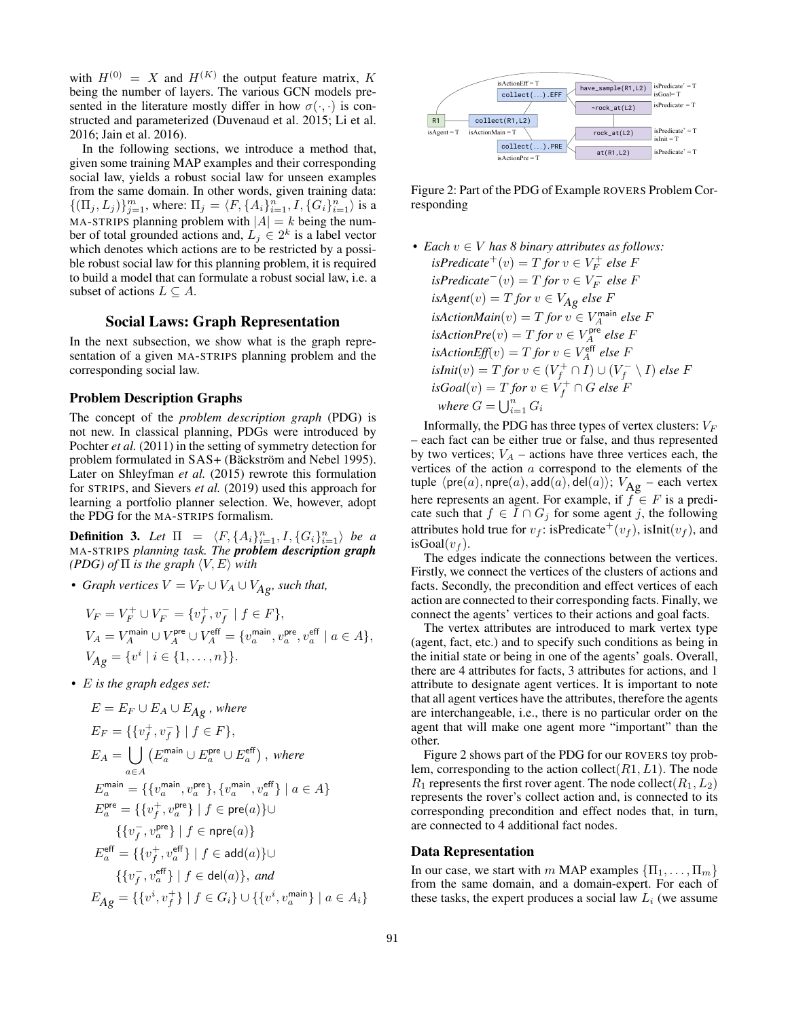with  $H^{(0)} = X$  and  $H^{(K)}$  the output feature matrix, K being the number of layers. The various GCN models presented in the literature mostly differ in how  $\sigma(\cdot, \cdot)$  is constructed and parameterized (Duvenaud et al. 2015; Li et al. 2016; Jain et al. 2016).

In the following sections, we introduce a method that, given some training MAP examples and their corresponding social law, yields a robust social law for unseen examples from the same domain. In other words, given training data:  $\{(\Pi_j, L_j)\}_{j=1}^m$ , where:  $\Pi_j = \langle F, \{A_i\}_{i=1}^n, I, \{G_i\}_{i=1}^n \rangle$  is a MA-STRIPS planning problem with  $|A| = k$  being the number of total grounded actions and,  $L_j \in 2^k$  is a label vector which denotes which actions are to be restricted by a possible robust social law for this planning problem, it is required to build a model that can formulate a robust social law, i.e. a subset of actions  $L \subset A$ .

## Social Laws: Graph Representation

In the next subsection, we show what is the graph representation of a given MA-STRIPS planning problem and the corresponding social law.

### Problem Description Graphs

The concept of the *problem description graph* (PDG) is not new. In classical planning, PDGs were introduced by Pochter *et al.* (2011) in the setting of symmetry detection for problem formulated in SAS+ (Bäckström and Nebel 1995). Later on Shleyfman *et al.* (2015) rewrote this formulation for STRIPS, and Sievers *et al.* (2019) used this approach for learning a portfolio planner selection. We, however, adopt the PDG for the MA-STRIPS formalism.

**Definition 3.** Let  $\Pi = \langle F, \{A_i\}_{i=1}^n, I, \{G_i\}_{i=1}^n \rangle$  be a MA-STRIPS *planning task. The problem description graph (PDG) of*  $\Pi$  *is the graph*  $\langle V, E \rangle$  *with* 

• *Graph vertices*  $V = V_F \cup V_A \cup V_{Ag}$ *, such that,* 

$$
\begin{aligned} V_F &= V_F^+ \cup V_F^- = \{ v_f^+, v_f^- \mid f \in F \}, \\ V_A &= V_A^{\text{main}} \cup V_A^{\text{pre}} \cup V_A^{\text{eff}} = \{ v_a^{\text{main}}, v_a^{\text{pre}}, v_a^{\text{eff}} \mid a \in A \}, \\ V_{Ag} &= \{ v^i \mid i \in \{1, \dots, n\} \}. \end{aligned}
$$

• E *is the graph edges set:*

$$
E = E_F \cup E_A \cup E_{Ag} \text{ , where}
$$
\n
$$
E_F = \{ \{v_f^+, v_f^-\} \mid f \in F \},
$$
\n
$$
E_A = \bigcup_{a \in A} \left( E_a^{\text{main}} \cup E_a^{\text{pre}} \cup E_a^{\text{eff}} \right), \text{ where}
$$
\n
$$
E_a^{\text{main}} = \{ \{v_a^{\text{main}}, v_a^{\text{pre}}\}, \{v_a^{\text{main}}, v_a^{\text{eff}}\} \mid a \in A \}
$$
\n
$$
E_a^{\text{pre}} = \{ \{v_f^+, v_a^{\text{pre}}\} \mid f \in \text{pre}(a) \} \cup
$$
\n
$$
\{ \{v_f^-, v_a^{\text{pre}}\} \mid f \in \text{ad}(a) \} \cup
$$
\n
$$
\{ \{v_f^-, v_a^{\text{eff}}\} \mid f \in \text{ad}(a) \} \cup
$$
\n
$$
\{ \{v_f^-, v_a^{\text{eff}}\} \mid f \in \text{del}(a) \}, \text{ and}
$$
\n
$$
E_{Ag} = \{ \{v^i, v_f^+\} \mid f \in G_i \} \cup \{ \{v^i, v_a^{\text{main}}\} \mid a \in A_i \}
$$



Figure 2: Part of the PDG of Example ROVERS Problem Corresponding

• *Each* v ∈ V *has 8 binary attributes as follows:*  $isPredicter^+(v) = T$  *for*  $v \in V_F^+$  *else* F  $isPredicter^{-}(v) = T$  *for*  $v \in V_F^-$  *else* F  $isAgent(v) = T$  *for*  $v \in V_{Ag}$  *else* F  $isActionMain(v) = T$  *for*  $v \in V_A^{\text{main}}$  *else* F  $isActionPre(v) = T for v \in V_A^{\text{pre}}$  else F  $isActionEff(v) = T for v \in V_A^{\text{eff}}$  else F  $isInit(v) = T$  *for*  $v \in (V_f^+ \cap I) \cup (V_f^- \setminus I)$  else F  $isGoal(v) = T$  *for*  $v \in V_f^+ \cap G$  *else F where*  $G = \bigcup_{i=1}^{n} G_i$ 

Informally, the PDG has three types of vertex clusters:  $V_F$ – each fact can be either true or false, and thus represented by two vertices;  $V_A$  – actions have three vertices each, the vertices of the action a correspond to the elements of the tuple  $\langle \text{pre}(a), \text{npre}(a), \text{add}(a), \text{del}(a)\rangle; V_{\text{Ag}}$  – each vertex here represents an agent. For example, if  $f \in F$  is a predicate such that  $f \in I \cap G_j$  for some agent j, the following attributes hold true for  $v_f$ : isPredicate<sup>+</sup>( $v_f$ ), isInit( $v_f$ ), and isGoal $(v_f)$ .

The edges indicate the connections between the vertices. Firstly, we connect the vertices of the clusters of actions and facts. Secondly, the precondition and effect vertices of each action are connected to their corresponding facts. Finally, we connect the agents' vertices to their actions and goal facts.

The vertex attributes are introduced to mark vertex type (agent, fact, etc.) and to specify such conditions as being in the initial state or being in one of the agents' goals. Overall, there are 4 attributes for facts, 3 attributes for actions, and 1 attribute to designate agent vertices. It is important to note that all agent vertices have the attributes, therefore the agents are interchangeable, i.e., there is no particular order on the agent that will make one agent more "important" than the other.

Figure 2 shows part of the PDG for our ROVERS toy problem, corresponding to the action collect( $R1, L1$ ). The node  $R_1$  represents the first rover agent. The node collect( $R_1, L_2$ ) represents the rover's collect action and, is connected to its corresponding precondition and effect nodes that, in turn, are connected to 4 additional fact nodes.

### Data Representation

In our case, we start with m MAP examples  $\{\Pi_1, \ldots, \Pi_m\}$ from the same domain, and a domain-expert. For each of these tasks, the expert produces a social law  $L_i$  (we assume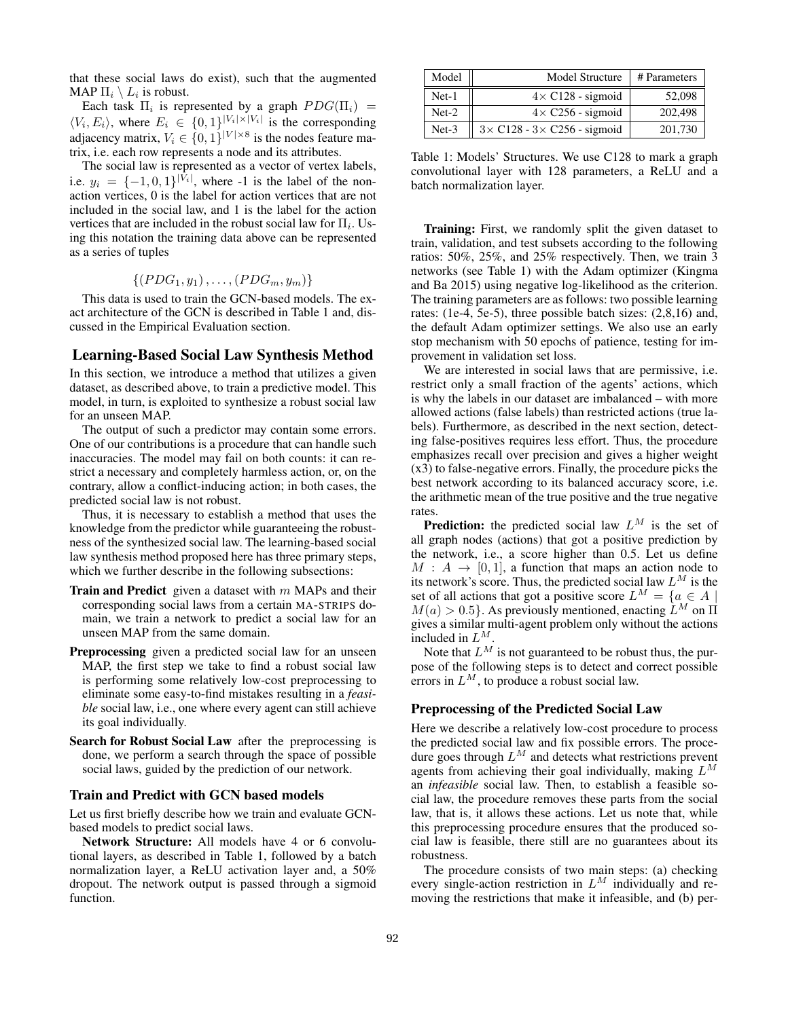that these social laws do exist), such that the augmented MAP  $\Pi_i \setminus L_i$  is robust.

Each task  $\Pi_i$  is represented by a graph  $PDG(\Pi_i)$  =  $\langle V_i, E_i \rangle$ , where  $E_i \in \{0, 1\}^{|V_i| \times |V_i|}$  is the corresponding adjacency matrix,  $V_i \in \{0, 1\}^{|V| \times 8}$  is the nodes feature matrix, i.e. each row represents a node and its attributes.

The social law is represented as a vector of vertex labels, i.e.  $y_i = \{-1, 0, 1\}^{|V_i|}$ , where -1 is the label of the nonaction vertices, 0 is the label for action vertices that are not included in the social law, and 1 is the label for the action vertices that are included in the robust social law for  $\Pi_i$ . Using this notation the training data above can be represented as a series of tuples

 $\{(PDG_1, y_1), \ldots, (PDG_m, y_m)\}\$ 

This data is used to train the GCN-based models. The exact architecture of the GCN is described in Table 1 and, discussed in the Empirical Evaluation section.

#### Learning-Based Social Law Synthesis Method

In this section, we introduce a method that utilizes a given dataset, as described above, to train a predictive model. This model, in turn, is exploited to synthesize a robust social law for an unseen MAP.

The output of such a predictor may contain some errors. One of our contributions is a procedure that can handle such inaccuracies. The model may fail on both counts: it can restrict a necessary and completely harmless action, or, on the contrary, allow a conflict-inducing action; in both cases, the predicted social law is not robust.

Thus, it is necessary to establish a method that uses the knowledge from the predictor while guaranteeing the robustness of the synthesized social law. The learning-based social law synthesis method proposed here has three primary steps, which we further describe in the following subsections:

- **Train and Predict** given a dataset with  $m$  MAPs and their corresponding social laws from a certain MA-STRIPS domain, we train a network to predict a social law for an unseen MAP from the same domain.
- Preprocessing given a predicted social law for an unseen MAP, the first step we take to find a robust social law is performing some relatively low-cost preprocessing to eliminate some easy-to-find mistakes resulting in a *feasible* social law, i.e., one where every agent can still achieve its goal individually.
- Search for Robust Social Law after the preprocessing is done, we perform a search through the space of possible social laws, guided by the prediction of our network.

## Train and Predict with GCN based models

Let us first briefly describe how we train and evaluate GCNbased models to predict social laws.

Network Structure: All models have 4 or 6 convolutional layers, as described in Table 1, followed by a batch normalization layer, a ReLU activation layer and, a 50% dropout. The network output is passed through a sigmoid function.

| Model   | Model Structure                           | # Parameters |
|---------|-------------------------------------------|--------------|
| $Net-1$ | $4 \times C128$ - sigmoid                 | 52,098       |
| $Net-2$ | $4 \times C256$ - sigmoid                 | 202,498      |
| $Net-3$ | $3 \times C128 - 3 \times C256$ - sigmoid | 201,730      |

Table 1: Models' Structures. We use C128 to mark a graph convolutional layer with 128 parameters, a ReLU and a batch normalization layer.

**Training:** First, we randomly split the given dataset to train, validation, and test subsets according to the following ratios: 50%, 25%, and 25% respectively. Then, we train 3 networks (see Table 1) with the Adam optimizer (Kingma and Ba 2015) using negative log-likelihood as the criterion. The training parameters are as follows: two possible learning rates: (1e-4, 5e-5), three possible batch sizes: (2,8,16) and, the default Adam optimizer settings. We also use an early stop mechanism with 50 epochs of patience, testing for improvement in validation set loss.

We are interested in social laws that are permissive, i.e. restrict only a small fraction of the agents' actions, which is why the labels in our dataset are imbalanced – with more allowed actions (false labels) than restricted actions (true labels). Furthermore, as described in the next section, detecting false-positives requires less effort. Thus, the procedure emphasizes recall over precision and gives a higher weight (x3) to false-negative errors. Finally, the procedure picks the best network according to its balanced accuracy score, i.e. the arithmetic mean of the true positive and the true negative rates.

**Prediction:** the predicted social law  $L^M$  is the set of all graph nodes (actions) that got a positive prediction by the network, i.e., a score higher than 0.5. Let us define  $M : A \rightarrow [0, 1]$ , a function that maps an action node to its network's score. Thus, the predicted social law  $L^M$  is the set of all actions that got a positive score  $L^M = \{a \in A \mid$  $M(a) > 0.5$ . As previously mentioned, enacting  $\tilde{L}^M$  on  $\Pi$ gives a similar multi-agent problem only without the actions included in  $L^M$ .

Note that  $L^M$  is not guaranteed to be robust thus, the purpose of the following steps is to detect and correct possible errors in  $L^M$ , to produce a robust social law.

### Preprocessing of the Predicted Social Law

Here we describe a relatively low-cost procedure to process the predicted social law and fix possible errors. The procedure goes through  $L^M$  and detects what restrictions prevent agents from achieving their goal individually, making  $L^M$ an *infeasible* social law. Then, to establish a feasible social law, the procedure removes these parts from the social law, that is, it allows these actions. Let us note that, while this preprocessing procedure ensures that the produced social law is feasible, there still are no guarantees about its robustness.

The procedure consists of two main steps: (a) checking every single-action restriction in  $L^M$  individually and removing the restrictions that make it infeasible, and (b) per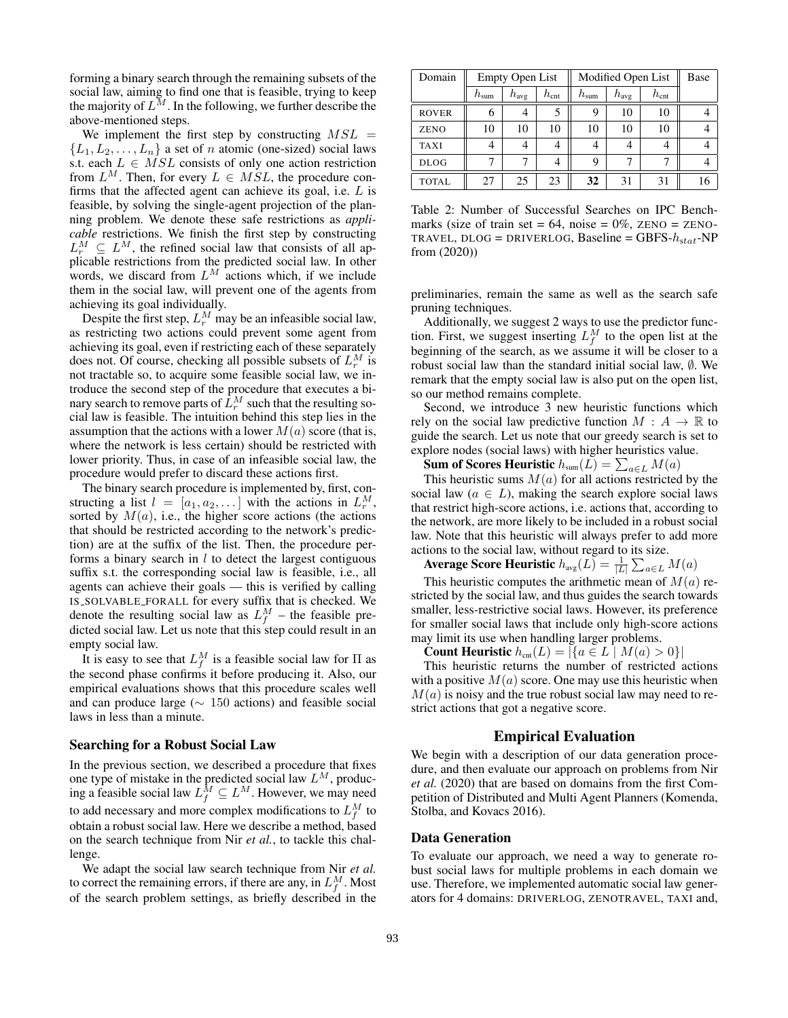forming a binary search through the remaining subsets of the social law, aiming to find one that is feasible, trying to keep the majority of  $L^M$ . In the following, we further describe the above-mentioned steps.

We implement the first step by constructing  $MSL =$  $\{L_1, L_2, \ldots, L_n\}$  a set of *n* atomic (one-sized) social laws s.t. each  $L \in MSL$  consists of only one action restriction from  $L^M$ . Then, for every  $L \in MSL$ , the procedure confirms that the affected agent can achieve its goal, i.e.  $L$  is feasible, by solving the single-agent projection of the planning problem. We denote these safe restrictions as *applicable* restrictions. We finish the first step by constructing  $L_r^M \subseteq L^M$ , the refined social law that consists of all applicable restrictions from the predicted social law. In other words, we discard from  $L^M$  actions which, if we include them in the social law, will prevent one of the agents from achieving its goal individually.

Despite the first step,  $L_r^M$  may be an infeasible social law, as restricting two actions could prevent some agent from achieving its goal, even if restricting each of these separately does not. Of course, checking all possible subsets of  $L_r^M$  is not tractable so, to acquire some feasible social law, we introduce the second step of the procedure that executes a binary search to remove parts of  $\tilde{L}_r^M$  such that the resulting social law is feasible. The intuition behind this step lies in the assumption that the actions with a lower  $M(a)$  score (that is, where the network is less certain) should be restricted with lower priority. Thus, in case of an infeasible social law, the procedure would prefer to discard these actions first.

The binary search procedure is implemented by, first, constructing a list  $l = [a_1, a_2, \dots]$  with the actions in  $L_r^M$ , sorted by  $M(a)$ , i.e., the higher score actions (the actions that should be restricted according to the network's prediction) are at the suffix of the list. Then, the procedure performs a binary search in  $l$  to detect the largest contiguous suffix s.t. the corresponding social law is feasible, i.e., all agents can achieve their goals — this is verified by calling IS SOLVABLE FORALL for every suffix that is checked. We denote the resulting social law as  $L_f^M$  – the feasible predicted social law. Let us note that this step could result in an empty social law.

It is easy to see that  $L_f^M$  is a feasible social law for  $\Pi$  as the second phase confirms it before producing it. Also, our empirical evaluations shows that this procedure scales well and can produce large ( $\sim 150$  actions) and feasible social laws in less than a minute.

#### Searching for a Robust Social Law

In the previous section, we described a procedure that fixes one type of mistake in the predicted social law  $L^M$ , producing a feasible social law  $L_f^M \subseteq L^M$ . However, we may need to add necessary and more complex modifications to  $L_f^M$  to obtain a robust social law. Here we describe a method, based on the search technique from Nir *et al.*, to tackle this challenge.

We adapt the social law search technique from Nir *et al.* to correct the remaining errors, if there are any, in  $L_f^M$ . Most of the search problem settings, as briefly described in the

| Domain       | <b>Empty Open List</b> |                  |               | Modified Open List | Base             |               |  |
|--------------|------------------------|------------------|---------------|--------------------|------------------|---------------|--|
|              | $h_{\text{sum}}$       | $h_{\text{avg}}$ | $h_{\rm cnt}$ | $h_{\rm sum}$      | $h_{\text{avg}}$ | $h_{\rm cnt}$ |  |
| <b>ROVER</b> |                        |                  |               | Q                  | 10               | 10            |  |
| ZENO         | 10                     | 10               | 10            | 10                 | 10               | 10            |  |
| <b>TAXI</b>  |                        |                  | 4             |                    |                  |               |  |
| <b>DLOG</b>  |                        |                  |               | 9                  |                  |               |  |
| <b>TOTAL</b> | 27                     | 25               | 23            | 32                 | 31               | 31            |  |

Table 2: Number of Successful Searches on IPC Benchmarks (size of train set =  $64$ , noise =  $0\%$ , ZENO = ZENO-TRAVEL, DLOG = DRIVERLOG, Baseline = GBFS- $h_{stat}$ -NP from (2020))

preliminaries, remain the same as well as the search safe pruning techniques.

Additionally, we suggest 2 ways to use the predictor function. First, we suggest inserting  $L_f^M$  to the open list at the beginning of the search, as we assume it will be closer to a robust social law than the standard initial social law,  $\emptyset$ . We remark that the empty social law is also put on the open list, so our method remains complete.

Second, we introduce 3 new heuristic functions which rely on the social law predictive function  $M : A \to \mathbb{R}$  to guide the search. Let us note that our greedy search is set to explore nodes (social laws) with higher heuristics value.

Sum of Scores Heuristic  $h_{\text{sum}}(L) = \sum_{a \in L} M(a)$ 

This heuristic sums  $M(a)$  for all actions restricted by the social law ( $a \in L$ ), making the search explore social laws that restrict high-score actions, i.e. actions that, according to the network, are more likely to be included in a robust social law. Note that this heuristic will always prefer to add more actions to the social law, without regard to its size.

Average Score Heuristic  $h_{\mathrm{avg}}(L) = \frac{1}{|L|} \sum_{a \in L} M(a)$ 

This heuristic computes the arithmetic mean of  $M(a)$  restricted by the social law, and thus guides the search towards smaller, less-restrictive social laws. However, its preference for smaller social laws that include only high-score actions may limit its use when handling larger problems.

**Count Heuristic**  $h_{\text{cnt}}(L) = |\{a \in L \mid M(a) > 0\}|$ 

This heuristic returns the number of restricted actions with a positive  $M(a)$  score. One may use this heuristic when  $M(a)$  is noisy and the true robust social law may need to restrict actions that got a negative score.

## Empirical Evaluation

We begin with a description of our data generation procedure, and then evaluate our approach on problems from Nir *et al.* (2020) that are based on domains from the first Competition of Distributed and Multi Agent Planners (Komenda, Stolba, and Kovacs 2016).

## Data Generation

To evaluate our approach, we need a way to generate robust social laws for multiple problems in each domain we use. Therefore, we implemented automatic social law generators for 4 domains: DRIVERLOG, ZENOTRAVEL, TAXI and,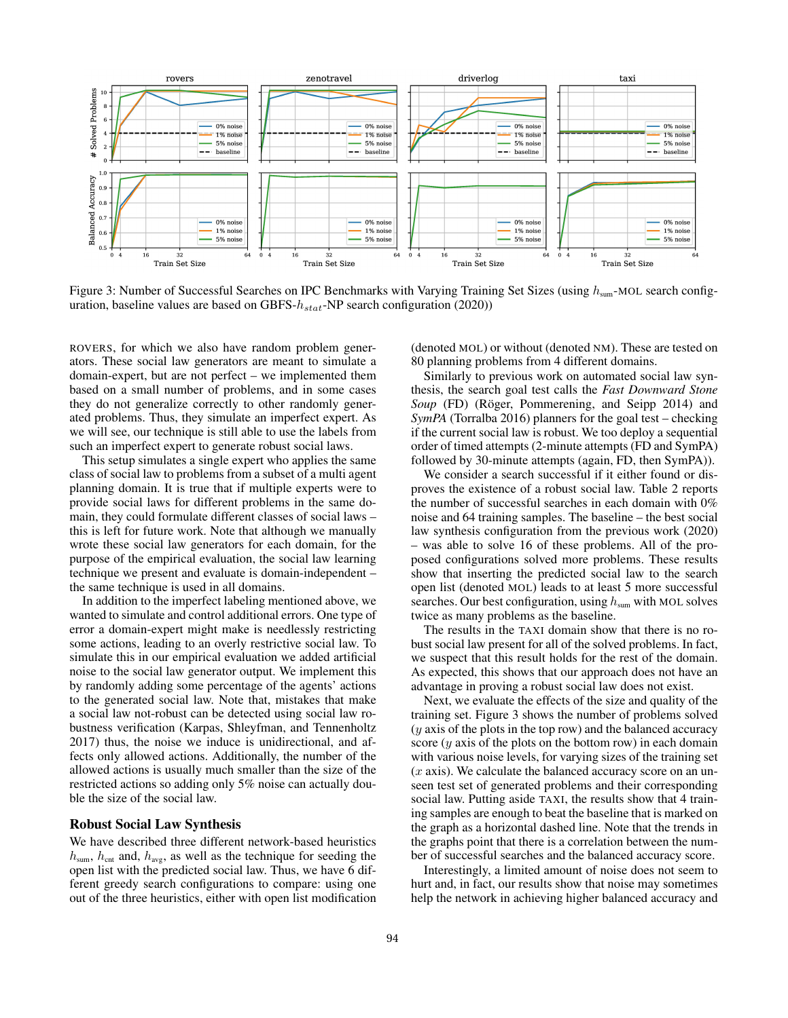

Figure 3: Number of Successful Searches on IPC Benchmarks with Varying Training Set Sizes (using  $h_{\text{sum}}$ -MOL search configuration, baseline values are based on GBFS- $h_{stat}$ -NP search configuration (2020))

ROVERS, for which we also have random problem generators. These social law generators are meant to simulate a domain-expert, but are not perfect – we implemented them based on a small number of problems, and in some cases they do not generalize correctly to other randomly generated problems. Thus, they simulate an imperfect expert. As we will see, our technique is still able to use the labels from such an imperfect expert to generate robust social laws.

This setup simulates a single expert who applies the same class of social law to problems from a subset of a multi agent planning domain. It is true that if multiple experts were to provide social laws for different problems in the same domain, they could formulate different classes of social laws – this is left for future work. Note that although we manually wrote these social law generators for each domain, for the purpose of the empirical evaluation, the social law learning technique we present and evaluate is domain-independent – the same technique is used in all domains.

In addition to the imperfect labeling mentioned above, we wanted to simulate and control additional errors. One type of error a domain-expert might make is needlessly restricting some actions, leading to an overly restrictive social law. To simulate this in our empirical evaluation we added artificial noise to the social law generator output. We implement this by randomly adding some percentage of the agents' actions to the generated social law. Note that, mistakes that make a social law not-robust can be detected using social law robustness verification (Karpas, Shleyfman, and Tennenholtz 2017) thus, the noise we induce is unidirectional, and affects only allowed actions. Additionally, the number of the allowed actions is usually much smaller than the size of the restricted actions so adding only 5% noise can actually double the size of the social law.

## Robust Social Law Synthesis

We have described three different network-based heuristics  $h_{\text{sum}}$ ,  $h_{\text{cnt}}$  and,  $h_{\text{avg}}$ , as well as the technique for seeding the open list with the predicted social law. Thus, we have 6 different greedy search configurations to compare: using one out of the three heuristics, either with open list modification

(denoted MOL) or without (denoted NM). These are tested on 80 planning problems from 4 different domains.

Similarly to previous work on automated social law synthesis, the search goal test calls the *Fast Downward Stone Soup* (FD) (Röger, Pommerening, and Seipp 2014) and *SymPA* (Torralba 2016) planners for the goal test – checking if the current social law is robust. We too deploy a sequential order of timed attempts (2-minute attempts (FD and SymPA) followed by 30-minute attempts (again, FD, then SymPA)).

We consider a search successful if it either found or disproves the existence of a robust social law. Table 2 reports the number of successful searches in each domain with 0% noise and 64 training samples. The baseline – the best social law synthesis configuration from the previous work (2020) – was able to solve 16 of these problems. All of the proposed configurations solved more problems. These results show that inserting the predicted social law to the search open list (denoted MOL) leads to at least 5 more successful searches. Our best configuration, using  $h_{\text{sum}}$  with MOL solves twice as many problems as the baseline.

The results in the TAXI domain show that there is no robust social law present for all of the solved problems. In fact, we suspect that this result holds for the rest of the domain. As expected, this shows that our approach does not have an advantage in proving a robust social law does not exist.

Next, we evaluate the effects of the size and quality of the training set. Figure 3 shows the number of problems solved  $(y \text{ axis of the plots in the top row})$  and the balanced accuracy score  $(y \text{ axis of the plots on the bottom row})$  in each domain with various noise levels, for varying sizes of the training set  $(x \text{ axis})$ . We calculate the balanced accuracy score on an unseen test set of generated problems and their corresponding social law. Putting aside TAXI, the results show that 4 training samples are enough to beat the baseline that is marked on the graph as a horizontal dashed line. Note that the trends in the graphs point that there is a correlation between the number of successful searches and the balanced accuracy score.

Interestingly, a limited amount of noise does not seem to hurt and, in fact, our results show that noise may sometimes help the network in achieving higher balanced accuracy and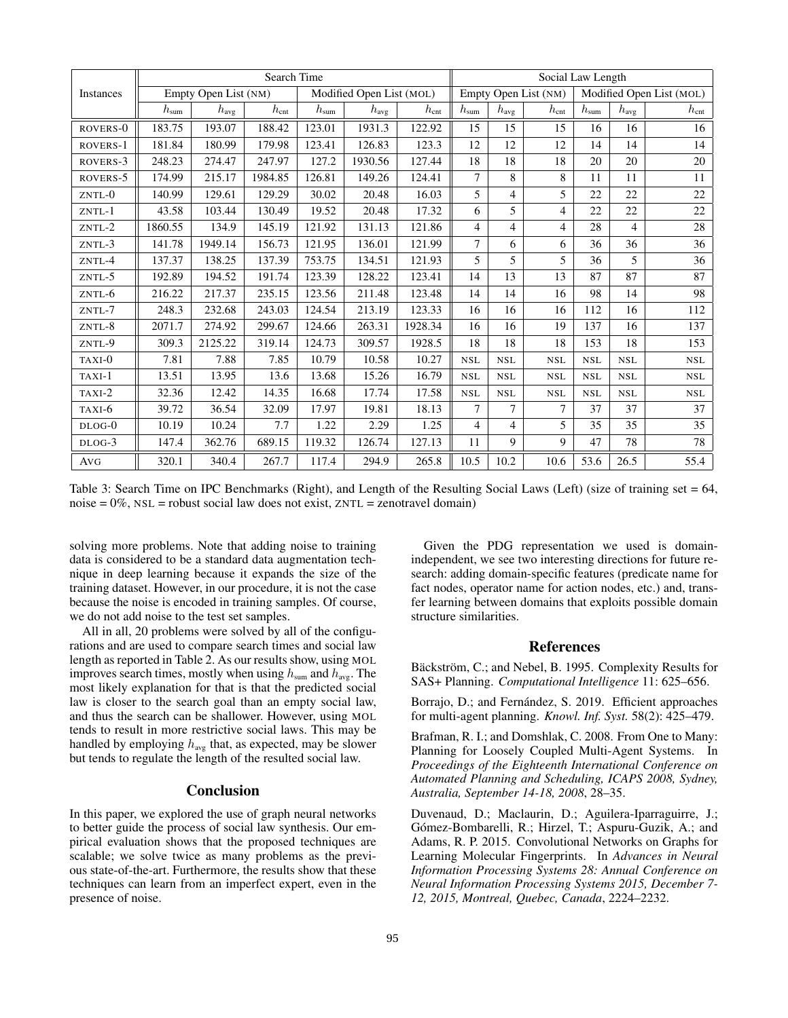|           | Search Time        |                      |               |               |                          | Social Law Length |                  |                      |                |               |                          |               |  |
|-----------|--------------------|----------------------|---------------|---------------|--------------------------|-------------------|------------------|----------------------|----------------|---------------|--------------------------|---------------|--|
| Instances |                    | Empty Open List (NM) |               |               | Modified Open List (MOL) |                   |                  | Empty Open List (NM) |                |               | Modified Open List (MOL) |               |  |
|           | $h_{\mathrm{sum}}$ | $h_{\mathrm{avg}}$   | $h_{\rm cnt}$ | $h_{\rm sum}$ | $h_{\text{avg}}$         | $h_{\rm cnt}$     | $h_{\text{sum}}$ | $h_{\mathrm{avg}}$   | $h_{\rm cnt}$  | $h_{\rm sum}$ | $h_{\text{avg}}$         | $h_{\rm cnt}$ |  |
| ROVERS-0  | 183.75             | 193.07               | 188.42        | 123.01        | 1931.3                   | 122.92            | 15               | 15                   | 15             | 16            | 16                       | 16            |  |
| ROVERS-1  | 181.84             | 180.99               | 179.98        | 123.41        | 126.83                   | 123.3             | 12               | 12                   | 12             | 14            | 14                       | 14            |  |
| ROVERS-3  | 248.23             | 274.47               | 247.97        | 127.2         | 1930.56                  | 127.44            | 18               | 18                   | 18             | 20            | 20                       | $20\,$        |  |
| ROVERS-5  | 174.99             | 215.17               | 1984.85       | 126.81        | 149.26                   | 124.41            | 7                | 8                    | 8              | 11            | 11                       | 11            |  |
| ZNTL-0    | 140.99             | 129.61               | 129.29        | 30.02         | 20.48                    | 16.03             | 5                | 4                    | 5              | 22            | 22                       | 22            |  |
| ZNTL-1    | 43.58              | 103.44               | 130.49        | 19.52         | 20.48                    | 17.32             | 6                | 5                    | $\overline{4}$ | 22            | 22                       | 22            |  |
| ZNTL-2    | 1860.55            | 134.9                | 145.19        | 121.92        | 131.13                   | 121.86            | 4                | 4                    | $\overline{4}$ | 28            | $\overline{4}$           | 28            |  |
| ZNTL-3    | 141.78             | 1949.14              | 156.73        | 121.95        | 136.01                   | 121.99            | $\overline{7}$   | 6                    | 6              | 36            | 36                       | 36            |  |
| ZNTL-4    | 137.37             | 138.25               | 137.39        | 753.75        | 134.51                   | 121.93            | 5                | 5                    | 5              | 36            | 5                        | 36            |  |
| $ZNTL-5$  | 192.89             | 194.52               | 191.74        | 123.39        | 128.22                   | 123.41            | 14               | 13                   | 13             | 87            | 87                       | 87            |  |
| ZNTL-6    | 216.22             | 217.37               | 235.15        | 123.56        | 211.48                   | 123.48            | 14               | 14                   | 16             | 98            | 14                       | 98            |  |
| ZNTL-7    | 248.3              | 232.68               | 243.03        | 124.54        | 213.19                   | 123.33            | 16               | 16                   | 16             | 112           | 16                       | 112           |  |
| ZNTL-8    | 2071.7             | 274.92               | 299.67        | 124.66        | 263.31                   | 1928.34           | 16               | 16                   | 19             | 137           | 16                       | 137           |  |
| ZNTL-9    | 309.3              | 2125.22              | 319.14        | 124.73        | 309.57                   | 1928.5            | 18               | 18                   | 18             | 153           | 18                       | 153           |  |
| TAXI-0    | 7.81               | 7.88                 | 7.85          | 10.79         | 10.58                    | 10.27             | <b>NSL</b>       | $_{\rm NSL}$         | <b>NSL</b>     | <b>NSL</b>    | <b>NSL</b>               | $_{\rm NSL}$  |  |
| TAXI-1    | 13.51              | 13.95                | 13.6          | 13.68         | 15.26                    | 16.79             | <b>NSL</b>       | <b>NSL</b>           | <b>NSL</b>     | <b>NSL</b>    | <b>NSL</b>               | <b>NSL</b>    |  |
| $TAXI-2$  | 32.36              | 12.42                | 14.35         | 16.68         | 17.74                    | 17.58             | <b>NSL</b>       | $_{\rm NSL}$         | <b>NSL</b>     | <b>NSL</b>    | <b>NSL</b>               | <b>NSL</b>    |  |
| TAXI-6    | 39.72              | 36.54                | 32.09         | 17.97         | 19.81                    | 18.13             | $\overline{7}$   | $\overline{7}$       | $\overline{7}$ | 37            | 37                       | 37            |  |
| DLOG-0    | 10.19              | 10.24                | 7.7           | 1.22          | 2.29                     | 1.25              | 4                | $\overline{4}$       | 5              | 35            | 35                       | 35            |  |
| DLOG-3    | 147.4              | 362.76               | 689.15        | 119.32        | 126.74                   | 127.13            | 11               | 9                    | 9              | 47            | 78                       | 78            |  |
| AVG       | 320.1              | 340.4                | 267.7         | 117.4         | 294.9                    | 265.8             | 10.5             | 10.2                 | 10.6           | 53.6          | 26.5                     | 55.4          |  |

Table 3: Search Time on IPC Benchmarks (Right), and Length of the Resulting Social Laws (Left) (size of training set  $= 64$ , noise =  $0\%$ , NSL = robust social law does not exist, ZNTL = zenotravel domain)

solving more problems. Note that adding noise to training data is considered to be a standard data augmentation technique in deep learning because it expands the size of the training dataset. However, in our procedure, it is not the case because the noise is encoded in training samples. Of course, we do not add noise to the test set samples.

All in all, 20 problems were solved by all of the configurations and are used to compare search times and social law length as reported in Table 2. As our results show, using MOL improves search times, mostly when using  $h_{\text{sum}}$  and  $h_{\text{avg}}$ . The most likely explanation for that is that the predicted social law is closer to the search goal than an empty social law, and thus the search can be shallower. However, using MOL tends to result in more restrictive social laws. This may be handled by employing  $h_{avg}$  that, as expected, may be slower but tends to regulate the length of the resulted social law.

## **Conclusion**

In this paper, we explored the use of graph neural networks to better guide the process of social law synthesis. Our empirical evaluation shows that the proposed techniques are scalable; we solve twice as many problems as the previous state-of-the-art. Furthermore, the results show that these techniques can learn from an imperfect expert, even in the presence of noise.

Given the PDG representation we used is domainindependent, we see two interesting directions for future research: adding domain-specific features (predicate name for fact nodes, operator name for action nodes, etc.) and, transfer learning between domains that exploits possible domain structure similarities.

#### References

Bäckström, C.; and Nebel, B. 1995. Complexity Results for SAS+ Planning. *Computational Intelligence* 11: 625–656.

Borrajo, D.; and Fernández, S. 2019. Efficient approaches for multi-agent planning. *Knowl. Inf. Syst.* 58(2): 425–479.

Brafman, R. I.; and Domshlak, C. 2008. From One to Many: Planning for Loosely Coupled Multi-Agent Systems. In *Proceedings of the Eighteenth International Conference on Automated Planning and Scheduling, ICAPS 2008, Sydney, Australia, September 14-18, 2008*, 28–35.

Duvenaud, D.; Maclaurin, D.; Aguilera-Iparraguirre, J.; Gómez-Bombarelli, R.; Hirzel, T.; Aspuru-Guzik, A.; and Adams, R. P. 2015. Convolutional Networks on Graphs for Learning Molecular Fingerprints. In *Advances in Neural Information Processing Systems 28: Annual Conference on Neural Information Processing Systems 2015, December 7- 12, 2015, Montreal, Quebec, Canada*, 2224–2232.